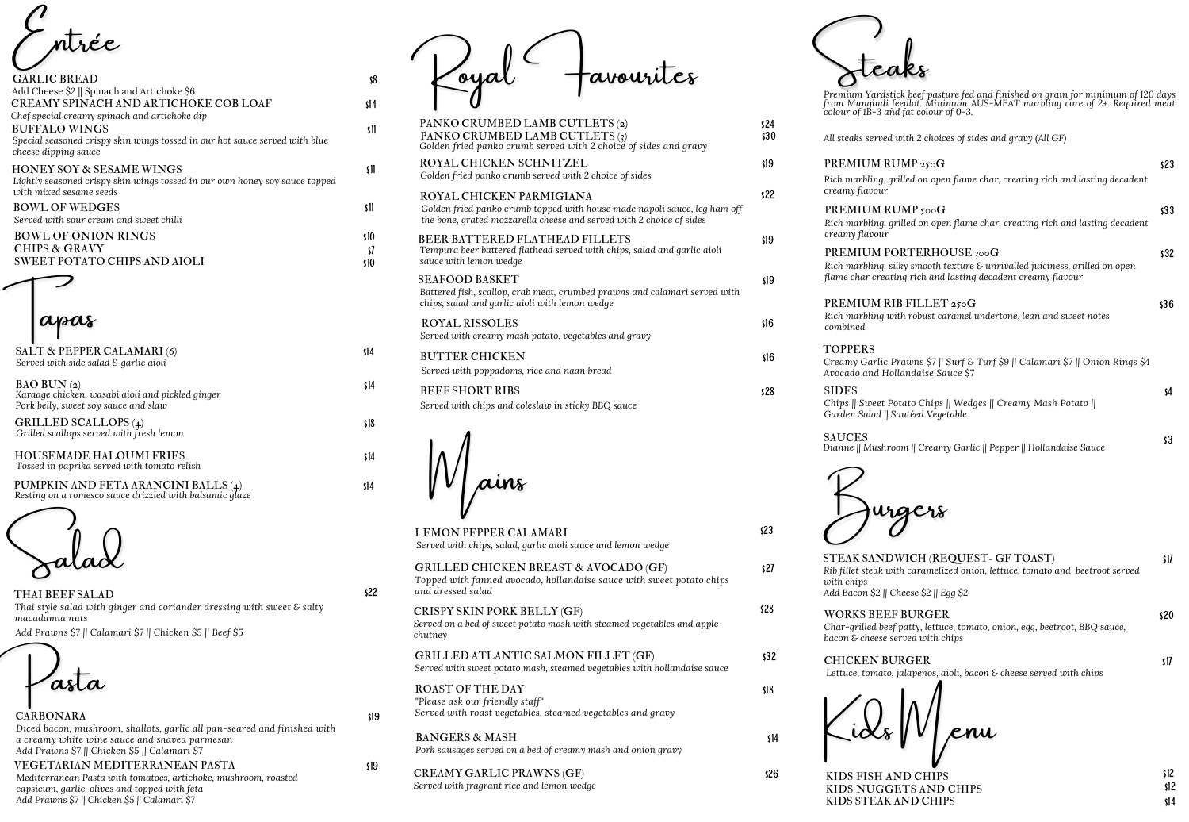\$8

BAO BUN (2) *Karaage chicken, wasabi aioli and pickled ginger Pork belly, sweet soy sauce and slaw*

\$14

GRILLED SCALLOPS (4) *Grilled scallops served with fresh lemon* \$18

HOUSEMADE HALOUMI FRIES *Tossed in paprika served with tomato relish* \$14

PUMPKIN AND FETA ARANCINI BALLS (4) *Resting on a romesco sauce drizzled with balsamic glaze* \$14

THAI BEEF SALAD *Thai style salad with ginger and coriander dressing with sweet & salty macadamia nuts*

\$22



CARBONARA *Diced bacon, mushroom, shallots, garlic all pan-seared and finished with a creamy white wine sauce and shaved parmesan Add Prawns \$7 || Chicken \$5 || Calamari \$7*

\$19

VEGETARIAN MEDITERRANEAN PASTA *Mediterranean Pasta with tomatoes, artichoke, mushroom, roasted capsicum, garlic, olives and topped with feta Add Prawns \$7 || Chicken \$5 || Calamari \$7*

ayal - tavourites

\$19

Pasta

TOPPERS  $C$ *reamy Garlic Pr Avocado and* Holl

SAUCES *Dianne* **||** Mushroo



STEAK SANDV *Rib fillet steak with caramelized onion, lettuce, tomato and beetroot served with chips Add Bacon* \$2 || *Ch* 

WORKS BEEF *Char-grilled beef patty, lettuce, tomato, onion, egg, beetroot, BBQ sauce, bacon*  $\&e$  *cheese ser* 

CHICKEN BU *Lettuce, tomato, jalapenos, aioli, bacon & cheese served with chips*



CREAMY GARLIC PRAWNS (GF) \$26 *Served with fragrant rice and lemon wedge*



PREMIUM RU *Rich marbling*, *gri creamy flavour* PREMIUM RU *Rich marbling*, *gr creamy flavour* PREMIUM PO  $Rich$  *marbling*, *sill flame char creating* 

ntrée

| <b>GARLIC BREAD</b>                                                                                    | \$8  |
|--------------------------------------------------------------------------------------------------------|------|
| Add Cheese \$2    Spinach and Artichoke \$6                                                            |      |
| CREAMY SPINACH AND ARTICHOKE COB LOAF                                                                  | \$14 |
| Chef special creamy spinach and artichoke dip                                                          |      |
| <b>BUFFALO WINGS</b>                                                                                   | \$11 |
| Special seasoned crispy skin wings tossed in our hot sauce served with blue                            |      |
| cheese dipping sauce                                                                                   |      |
| <b>HONEY SOY &amp; SESAME WINGS</b>                                                                    | \$11 |
| Lightly seasoned crispy skin wings tossed in our own honey soy sauce topped<br>with mixed sesame seeds |      |
| <b>BOWL OF WEDGES</b>                                                                                  | \$11 |
| Served with sour cream and sweet chilli                                                                |      |
| <b>BOWL OF ONION RINGS</b>                                                                             | \$10 |
| <b>CHIPS &amp; GRAVY</b>                                                                               | \$7  |
| <b>SWEET POTATO CHIPS AND AIOLI</b>                                                                    | \$10 |
|                                                                                                        |      |
|                                                                                                        |      |
| SALT & PEPPER CALAMARI (6)                                                                             | \$14 |
| Served with side salad & garlic aioli                                                                  |      |
|                                                                                                        |      |

| PANKO CRUMBED LAMB CUTLETS (2)<br>PANKO CRUMBED LAMB CUTLETS (3)<br>Golden fried panko crumb served with 2 choice of sides and gravy                                          | s24<br>\$30 |
|-------------------------------------------------------------------------------------------------------------------------------------------------------------------------------|-------------|
| ROYAL CHICKEN SCHNITZEL<br>Golden fried panko crumb served with 2 choice of sides                                                                                             | \$19        |
| ROYAL CHICKEN PARMIGIANA<br>Golden fried panko crumb topped with house made napoli sauce, leg ham off<br>the bone, grated mozzarella cheese and served with 2 choice of sides | \$22        |
| BEER BATTERED FLATHEAD FILLETS<br>Tempura beer battered flathead served with chips, salad and garlic aioli<br>sauce with lemon wedge                                          | \$19        |
| <b>SEAFOOD BASKET</b><br>Battered fish, scallop, crab meat, crumbed prawns and calamari served with<br>chips, salad and garlic aioli with lemon wedge                         | s19         |
| <b>ROYAL RISSOLES</b><br>Served with creamy mash potato, vegetables and gravy                                                                                                 | \$16        |
| <b>BUTTER CHICKEN</b><br>Served with poppadoms, rice and naan bread                                                                                                           | \$16        |
| <b>BEEF SHORT RIBS</b><br>Served with chips and coleslaw in sticky BBQ sauce                                                                                                  | \$28        |
|                                                                                                                                                                               |             |

| Premium Yardstick beef pasture fed and finished on grain for minimum of 120 days<br>from Mungindi feedlot. Minimum AUS-MEAT marbling core of 2+. Required meat<br>colour of 1B-3 and fat colour of 0-3. |      |
|---------------------------------------------------------------------------------------------------------------------------------------------------------------------------------------------------------|------|
| All steaks served with 2 choices of sides and gravy (All GF)                                                                                                                                            |      |
| PREMIUM RUMP 250G                                                                                                                                                                                       | \$23 |
| Rich marbling, grilled on open flame char, creating rich and lasting decadent<br>creamy flavour                                                                                                         |      |
| PREMIUM RUMP 500G                                                                                                                                                                                       | \$33 |
| Rich marbling, grilled on open flame char, creating rich and lasting decadent<br>creamy flavour                                                                                                         |      |
| PREMIUM PORTERHOUSE 300G                                                                                                                                                                                | \$32 |
| Rich marbling, silky smooth texture & unrivalled juiciness, grilled on open<br>flame char creating rich and lasting decadent creamy flavour                                                             |      |
| PREMIUM RIB FILLET 250G                                                                                                                                                                                 | \$36 |
| Rich marbling with robust caramel undertone, lean and sweet notes<br>combined                                                                                                                           |      |
| TOPPERS                                                                                                                                                                                                 |      |
| Creamy Garlic Prawns \$7    Surf & Turf \$9    Calamari \$7    Onion Rings \$4<br>Avocado and Hollandaise Sauce \$7                                                                                     |      |
| <b>SIDES</b>                                                                                                                                                                                            | \$4  |
| Chips    Sweet Potato Chips    Wedges    Creamy Mash Potato   <br>Garden Salad    Sautéed Vegetable                                                                                                     |      |
| <b>SAUCES</b>                                                                                                                                                                                           | \$3  |
| Dianne    Mushroom    Creamy Garlic    Pepper    Hollandaise Sauce                                                                                                                                      |      |

urgers

| <b>WICH (REQUEST- GF TOAST)</b><br>h caramelized onion, lettuce, tomato and beetroot served  | \$17 |
|----------------------------------------------------------------------------------------------|------|
| reese \$2    Egg \$2                                                                         |      |
| <b>BURGER</b><br>patty, lettuce, tomato, onion, egg, beetroot, BBQ sauce,<br>rved with chips | s20. |
| RGER<br>alapenos, aioli, bacon & cheese served with chips                                    | \$17 |

Knu



| <b>LEMON PEPPER CALAMARI</b><br>Served with chips, salad, garlic aioli sauce and lemon wedge                                                   | \$23 |
|------------------------------------------------------------------------------------------------------------------------------------------------|------|
| <b>GRILLED CHICKEN BREAST &amp; AVOCADO (GF)</b><br>Topped with fanned avocado, hollandaise sauce with sweet potato chips<br>and dressed salad | s27  |
| CRISPY SKIN PORK BELLY (GF)<br>Served on a bed of sweet potato mash with steamed vegetables and apple<br>chutney                               | s28  |
| <b>GRILLED ATLANTIC SALMON FILLET (GF)</b><br>Served with sweet potato mash, steamed vegetables with hollandaise sauce                         | \$32 |
| <b>ROAST OF THE DAY</b><br>"Please ask our friendly staff"<br>Served with roast vegetables, steamed vegetables and gravy                       | \$18 |
| <b>BANGERS &amp; MASH</b><br>Pork sausages served on a bed of creamy mash and onion gravy                                                      | \$14 |

KIDS FISH AND CHIPS KIDS NUGGETS AND CHIPS KIDS STEAK AND CHIPS



*Add Prawns \$7 || Calamari \$7 || Chicken \$5 || Beef \$5*

\$12 \$14 \$12